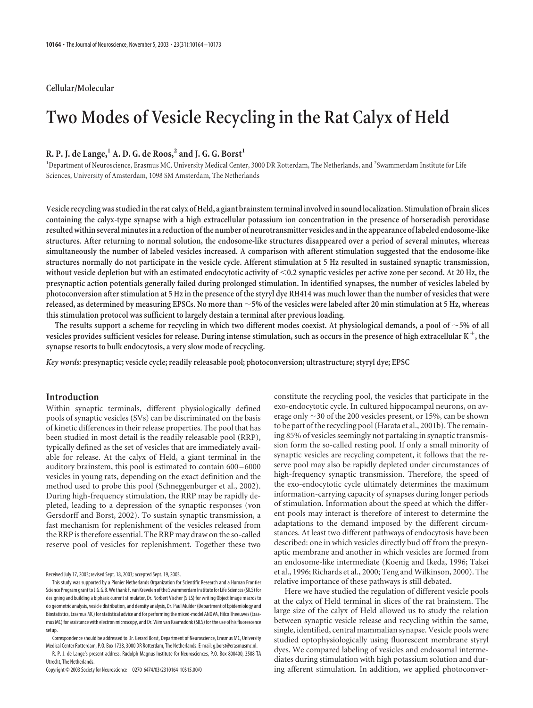**Cellular/Molecular**

# **Two Modes of Vesicle Recycling in the Rat Calyx of Held**

## **R. P. J. de Lange,**<sup>1</sup> **A. D. G. de Roos,**<sup>2</sup> and J. G. G. Borst<sup>1</sup>

<sup>1</sup>Department of Neuroscience, Erasmus MC, University Medical Center, 3000 DR Rotterdam, The Netherlands, and <sup>2</sup>Swammerdam Institute for Life Sciences, University of Amsterdam, 1098 SM Amsterdam, The Netherlands

**Vesicle recycling was studied in the rat calyx of Held, a giant brainstem terminal involved in sound localization. Stimulation of brain slices containing the calyx-type synapse with a high extracellular potassium ion concentration in the presence of horseradish peroxidase resulted within several minutes in a reduction of the number of neurotransmitter vesicles and in the appearance of labeled endosome-like structures. After returning to normal solution, the endosome-like structures disappeared over a period of several minutes, whereas simultaneously the number of labeled vesicles increased. A comparison with afferent stimulation suggested that the endosome-like structures normally do not participate in the vesicle cycle. Afferent stimulation at 5 Hz resulted in sustained synaptic transmission, without vesicle depletion but with an estimated endocytotic activity of 0.2 synaptic vesicles per active zone per second. At 20 Hz, the presynaptic action potentials generally failed during prolonged stimulation. In identified synapses, the number of vesicles labeled by photoconversion after stimulation at 5 Hz in the presence of the styryl dye RH414 was much lower than the number of vesicles that were** released, as determined by measuring EPSCs. No more than  $\sim$  5% of the vesicles were labeled after 20 min stimulation at 5 Hz, whereas **this stimulation protocol was sufficient to largely destain a terminal after previous loading.**

The results support a scheme for recycling in which two different modes coexist. At physiological demands, a pool of  $\sim$ 5% of all **vesicles provides sufficient vesicles for release. During intense stimulation, such as occurs in the presence of high extracellular K , the synapse resorts to bulk endocytosis, a very slow mode of recycling.**

*Key words:* **presynaptic; vesicle cycle; readily releasable pool; photoconversion; ultrastructure; styryl dye; EPSC**

### **Introduction**

Within synaptic terminals, different physiologically defined pools of synaptic vesicles (SVs) can be discriminated on the basis of kinetic differences in their release properties. The pool that has been studied in most detail is the readily releasable pool (RRP), typically defined as the set of vesicles that are immediately available for release. At the calyx of Held, a giant terminal in the auditory brainstem, this pool is estimated to contain 600 – 6000 vesicles in young rats, depending on the exact definition and the method used to probe this pool (Schneggenburger et al., 2002). During high-frequency stimulation, the RRP may be rapidly depleted, leading to a depression of the synaptic responses (von Gersdorff and Borst, 2002). To sustain synaptic transmission, a fast mechanism for replenishment of the vesicles released from the RRP is therefore essential. The RRP may draw on the so-called reserve pool of vesicles for replenishment. Together these two

Received July 17, 2003; revised Sept. 18, 2003; accepted Sept. 19, 2003.

R. P. J. de Lange's present address: Rudolph Magnus Institute for Neurosciences, P.O. Box 800400, 3508 TA Utrecht, The Netherlands.

Copyright © 2003 Society for Neuroscience 0270-6474/03/2310164-10\$15.00/0

constitute the recycling pool, the vesicles that participate in the exo-endocytotic cycle. In cultured hippocampal neurons, on average only  ${\sim}$ 30 of the 200 vesicles present, or 15%, can be shown to be part of the recycling pool (Harata et al., 2001b). The remaining 85% of vesicles seemingly not partaking in synaptic transmission form the so-called resting pool. If only a small minority of synaptic vesicles are recycling competent, it follows that the reserve pool may also be rapidly depleted under circumstances of high-frequency synaptic transmission. Therefore, the speed of the exo-endocytotic cycle ultimately determines the maximum information-carrying capacity of synapses during longer periods of stimulation. Information about the speed at which the different pools may interact is therefore of interest to determine the adaptations to the demand imposed by the different circumstances. At least two different pathways of endocytosis have been described: one in which vesicles directly bud off from the presynaptic membrane and another in which vesicles are formed from an endosome-like intermediate (Koenig and Ikeda, 1996; Takei et al., 1996; Richards et al., 2000; Teng and Wilkinson, 2000). The relative importance of these pathways is still debated.

Here we have studied the regulation of different vesicle pools at the calyx of Held terminal in slices of the rat brainstem. The large size of the calyx of Held allowed us to study the relation between synaptic vesicle release and recycling within the same, single, identified, central mammalian synapse. Vesicle pools were studied optophysiologically using fluorescent membrane styryl dyes. We compared labeling of vesicles and endosomal intermediates during stimulation with high potassium solution and during afferent stimulation. In addition, we applied photoconver-

This study was supported by a Pionier Netherlands Organization for Scientific Research and a Human Frontier Science Program grant to J.G.G.B. We thank F. van Krevelen of the Swammerdam Institute for Life Sciences (SILS) for designing and building a biphasic current stimulator, Dr. Norbert Vischer (SILS) for writing Object Image macros to do geometric analysis, vesicle distribution, and density analysis, Dr. Paul Mulder (Department of Epidemiology and Biostatistics, Erasmus MC) for statistical advice and for performing the mixed-model ANOVA, Hilco Theeuwes (Erasmus MC) for assistance with electron microscopy, and Dr. Wim van Raamsdonk (SILS) for the use of his fluorescence setup.

Correspondence should be addressed to Dr. Gerard Borst, Department of Neuroscience, Erasmus MC, University Medical Center Rotterdam, P.O. Box 1738, 3000 DR Rotterdam, The Netherlands. E-mail: g.borst@erasmusmc.nl.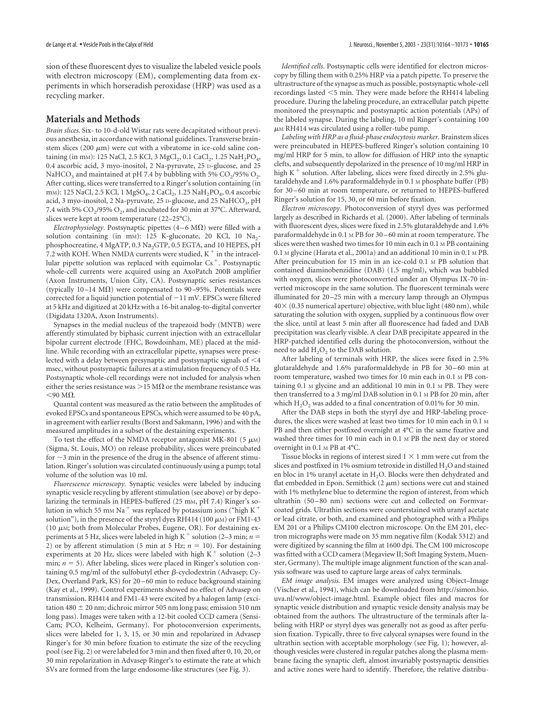sion of these fluorescent dyes to visualize the labeled vesicle pools with electron microscopy (EM), complementing data from experiments in which horseradish peroxidase (HRP) was used as a recycling marker.

## **Materials and Methods**

*Brain slices.* Six- to 10-d-old Wistar rats were decapitated without previous anesthesia, in accordance with national guidelines. Transverse brainstem slices (200  $\mu$ m) were cut with a vibratome in ice-cold saline containing (in mm): 125 NaCl, 2.5 KCl, 3 MgCl<sub>2</sub>, 0.1 CaCl<sub>2</sub>, 1.25 NaH<sub>2</sub>PO<sub>4</sub>, 0.4 ascorbic acid, 3 myo-inositol, 2 Na-pyruvate, 25 D-glucose, and 25 NaHCO<sub>3</sub> and maintained at pH 7.4 by bubbling with 5%  $CO<sub>2</sub>/95% O<sub>2</sub>$ . After cutting, slices were transferred to a Ringer's solution containing (in mm): 125 NaCl, 2.5 KCl, 1 MgSO<sub>4</sub>, 2 CaCl<sub>2</sub>, 1.25 NaH<sub>2</sub>PO<sub>4</sub>, 0.4 ascorbic acid, 3 myo-inositol, 2 Na-pyruvate, 25 D-glucose, and 25 NaHCO<sub>3</sub>, pH 7.4 with 5%  $CO_2/95\%$   $O_2$ , and incubated for 30 min at 37°C. Afterward, slices were kept at room temperature (22–25°C).

*Electrophysiology*. Postsynaptic pipettes  $(4-6 \text{ M}\Omega)$  were filled with a solution containing (in mm):  $125$  K-gluconate,  $20$  KCl,  $10$  Na<sub>2</sub>phosphocreatine, 4 MgATP, 0.3 Na<sub>2</sub>GTP, 0.5 EGTA, and 10 HEPES, pH 7.2 with KOH. When NMDA currents were studied,  $K^+$  in the intracellular pipette solution was replaced with equimolar  $Cs^+$ . Postsynaptic whole-cell currents were acquired using an AxoPatch 200B amplifier (Axon Instruments, Union City, CA). Postsynaptic series resistances (typically 10–14 M $\Omega$ ) were compensated to 90–95%. Potentials were corrected for a liquid junction potential of  $-11$  mV. EPSCs were filtered at 5 kHz and digitized at 20 kHz with a 16-bit analog-to-digital converter (Digidata 1320A, Axon Instruments).

Synapses in the medial nucleus of the trapezoid body (MNTB) were afferently stimulated by biphasic current injection with an extracellular bipolar current electrode (FHC, Bowdoinham, ME) placed at the midline. While recording with an extracellular pipette, synapses were preselected with a delay between presynaptic and postsynaptic signals of  $\leq$ 4 msec, without postsynaptic failures at a stimulation frequency of 0.5 Hz. Postsynaptic whole-cell recordings were not included for analysis when either the series resistance was  $>$ 15 M $\Omega$  or the membrane resistance was  $<$ 90 M $\Omega$ .

Quantal content was measured as the ratio between the amplitudes of evoked EPSCs and spontaneous EPSCs, which were assumed to be 40 pA, in agreement with earlier results (Borst and Sakmann, 1996) and with the measured amplitudes in a subset of the destaining experiments.

To test the effect of the NMDA receptor antagonist MK-801 (5  $\mu$ M) (Sigma, St. Louis, MO) on release probability, slices were preincubated for  $\sim$ 3 min in the presence of the drug in the absence of afferent stimulation. Ringer's solution was circulated continuously using a pump; total volume of the solution was 10 ml.

*Fluorescence microscopy.* Synaptic vesicles were labeled by inducing synaptic vesicle recycling by afferent stimulation (see above) or by depolarizing the terminals in HEPES-buffered (25 mM, pH 7.4) Ringer's solution in which 55 mm Na<sup>+</sup> was replaced by potassium ions ("high K<sup>+</sup> solution"), in the presence of the styryl dyes RH414 (100  $\mu$ M) or FM1-43 (10  $\mu$ M; both from Molecular Probes, Eugene, OR). For destaining experiments at 5 Hz, slices were labeled in high K<sup>+</sup> solution (2–3 min;  $n =$ 2) or by afferent stimulation (5 min at 5 Hz;  $n = 10$ ). For destaining experiments at 20 Hz, slices were labeled with high  $K^+$  solution (2–3) min;  $n = 5$ ). After labeling, slices were placed in Ringer's solution containing 0.5 mg/ml of the sulfobutyl ether  $\beta$ -cyclodextrin (Advasep; Cy-Dex, Overland Park, KS) for 20–60 min to reduce background staining (Kay et al., 1999). Control experiments showed no effect of Advasep on transmission. RH414 and FM1-43 were excited by a halogen lamp (excitation 480  $\pm$  20 nm; dichroic mirror 505 nm long pass; emission 510 nm long pass). Images were taken with a 12-bit cooled CCD camera (Sensi-Cam; PCO, Kelheim, Germany). For photoconversion experiments, slices were labeled for 1, 3, 15, or 30 min and repolarized in Advasep Ringer's for 30 min before fixation to estimate the size of the recycling pool (see Fig. 2) or were labeled for 3 min and then fixed after 0, 10, 20, or 30 min repolarization in Advasep Ringer's to estimate the rate at which SVs are formed from the large endosome-like structures (see Fig. 3).

*Identified cells*. Postsynaptic cells were identified for electron microscopy by filling them with 0.25% HRP via a patch pipette. To preserve the ultrastructure of the synapse as much as possible, postsynaptic whole-cell recordings lasted  $<$  5 min. They were made before the RH414 labeling procedure. During the labeling procedure, an extracellular patch pipette monitored the presynaptic and postsynaptic action potentials (APs) of the labeled synapse. During the labeling, 10 ml Ringer's containing 100  $\mu$ M RH414 was circulated using a roller-tube pump.

*Labeling with HRP as a fluid-phase endocytosis marker.* Brainstem slices were preincubated in HEPES-buffered Ringer's solution containing 10 mg/ml HRP for 5 min, to allow for diffusion of HRP into the synaptic clefts, and subsequently depolarized in the presence of 10 mg/ml HRP in high  $K^+$  solution. After labeling, slices were fixed directly in 2.5% glutaraldehyde and 1.6% paraformaldehyde in 0.1 M phosphate buffer (PB) for 30–60 min at room temperature, or returned to HEPES-buffered Ringer's solution for 15, 30, or 60 min before fixation.

*Electron microscopy.* Photoconversion of styryl dyes was performed largely as described in Richards et al. (2000). After labeling of terminals with fluorescent dyes, slices were fixed in 2.5% glutaraldehyde and 1.6% paraformaldehyde in 0.1 M PB for 30–60 min at room temperature. The slices were then washed two times for 10 min each in 0.1 M PB containing 0.1 M glycine (Harata et al., 2001a) and an additional 10 min in 0.1 M PB. After preincubution for 15 min in an ice-cold 0.1 M PB solution that contained diaminobenzidine (DAB) (1.5 mg/ml), which was bubbled with oxygen, slices were photoconverted under an Olympus IX-70 inverted microscope in the same solution. The fluorescent terminals were illuminated for 20–25 min with a mercury lamp through an Olympus  $40\times$  (0.35 numerical aperture) objective, with blue light (480 nm), while saturating the solution with oxygen, supplied by a continuous flow over the slice, until at least 5 min after all fluorescence had faded and DAB precipitation was clearly visible. A clear DAB precipitate appeared in the HRP-patched identified cells during the photoconversion, without the need to add  $H_2O_2$  to the DAB solution.

After labeling of terminals with HRP, the slices were fixed in 2.5% glutaraldehyde and 1.6% paraformaldehyde in PB for 30–60 min at room temperature, washed two times for 10 min each in 0.1 M PB containing 0.1 M glycine and an additional 10 min in 0.1 M PB. They were then transferred to a 3 mg/ml DAB solution in 0.1 M PB for 20 min, after which  $H_2O_2$  was added to a final concentration of 0.01% for 30 min.

After the DAB steps in both the styryl dye and HRP-labeling procedures, the slices were washed at least two times for 10 min each in 0.1 M PB and then either postfixed overnight at 4°C in the same fixative and washed three times for 10 min each in 0.1 M PB the next day or stored overnight in 0.1 M PB at 4°C.

Tissue blocks in regions of interest sized  $1 \times 1$  mm were cut from the slices and postfixed in 1% osmium tetroxide in distilled  $H_2O$  and stained en bloc in 1% uranyl acetate in H<sub>2</sub>O. Blocks were then dehydrated and flat embedded in Epon. Semithick  $(2 \mu m)$  sections were cut and stained with 1% methylene blue to determine the region of interest, from which ultrathin (50–80 nm) sections were cut and collected on Formvarcoated grids. Ultrathin sections were counterstained with uranyl acetate or lead citrate, or both, and examined and photographed with a Philips EM 201 or a Philips CM100 electron microscope. On the EM 201, electron micrographs were made on 35 mm negative film (Kodak 5312) and were digitized by scanning the film at 1600 dpi. The CM 100 microscope was fitted with a CCD camera (Megaview II; Soft Imaging System, Muenster, Germany). The multiple image alignment function of the scan analysis software was used to capture large areas of calyx terminals.

*EM image analysis.* EM images were analyzed using Object–Image (Vischer et al., 1994), which can be downloaded from http://simon.bio. uva.nl/www/object-image.html. Example object files and macros for synaptic vesicle distribution and synaptic vesicle density analysis may be obtained from the authors. The ultrastructure of the terminals after labeling with HRP or styryl dyes was generally not as good as after perfusion fixation. Typically, three to five calyceal synapses were found in the ultrathin section with acceptable morphology (see Fig. 1); however, although vesicles were clustered in regular patches along the plasma membrane facing the synaptic cleft, almost invariably postsynaptic densities and active zones were hard to identify. Therefore, the relative distribu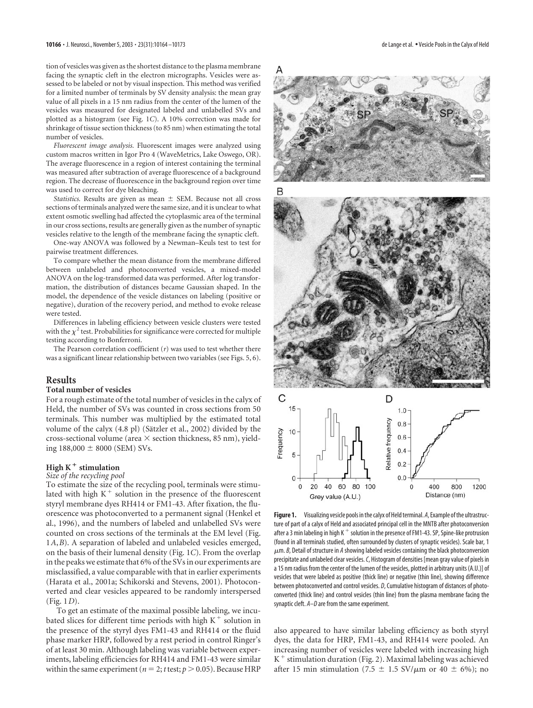tion of vesicles was given as the shortest distance to the plasma membrane facing the synaptic cleft in the electron micrographs. Vesicles were assessed to be labeled or not by visual inspection. This method was verified for a limited number of terminals by SV density analysis: the mean gray value of all pixels in a 15 nm radius from the center of the lumen of the vesicles was measured for designated labeled and unlabelled SVs and plotted as a histogram (see Fig. 1*C*). A 10% correction was made for shrinkage of tissue section thickness (to 85 nm) when estimating the total number of vesicles.

*Fluorescent image analysis.* Fluorescent images were analyzed using custom macros written in Igor Pro 4 (WaveMetrics, Lake Oswego, OR). The average fluorescence in a region of interest containing the terminal was measured after subtraction of average fluorescence of a background region. The decrease of fluorescence in the background region over time was used to correct for dye bleaching.

*Statistics*. Results are given as mean  $\pm$  SEM. Because not all cross sections of terminals analyzed were the same size, and it is unclear to what extent osmotic swelling had affected the cytoplasmic area of the terminal in our cross sections, results are generally given as the number of synaptic vesicles relative to the length of the membrane facing the synaptic cleft.

One-way ANOVA was followed by a Newman–Keuls test to test for pairwise treatment differences.

To compare whether the mean distance from the membrane differed between unlabeled and photoconverted vesicles, a mixed-model ANOVA on the log-transformed data was performed. After log transformation, the distribution of distances became Gaussian shaped. In the model, the dependence of the vesicle distances on labeling (positive or negative), duration of the recovery period, and method to evoke release were tested.

Differences in labeling efficiency between vesicle clusters were tested with the  $\chi^2$  test. Probabilities for significance were corrected for multiple testing according to Bonferroni.

The Pearson correlation coefficient (*r*) was used to test whether there was a significant linear relationship between two variables (see Figs. 5, 6).

### **Results**

## **Total number of vesicles**

For a rough estimate of the total number of vesicles in the calyx of Held, the number of SVs was counted in cross sections from 50 terminals. This number was multiplied by the estimated total volume of the calyx (4.8 pl) (Sätzler et al., 2002) divided by the cross-sectional volume (area  $\times$  section thickness, 85 nm), yielding  $188,000 \pm 8000$  (SEM) SVs.

### $High K<sup>+</sup> stimulation$

## *Size of the recycling pool*

To estimate the size of the recycling pool, terminals were stimulated with high  $K^+$  solution in the presence of the fluorescent styryl membrane dyes RH414 or FM1-43. After fixation, the fluorescence was photoconverted to a permanent signal (Henkel et al., 1996), and the numbers of labeled and unlabelled SVs were counted on cross sections of the terminals at the EM level (Fig. 1*A*,*B*). A separation of labeled and unlabeled vesicles emerged, on the basis of their lumenal density (Fig. 1*C*). From the overlap in the peaks we estimate that 6% of the SVs in our experiments are misclassified, a value comparable with that in earlier experiments (Harata et al., 2001a; Schikorski and Stevens, 2001). Photoconverted and clear vesicles appeared to be randomly interspersed (Fig. 1*D*).

To get an estimate of the maximal possible labeling, we incubated slices for different time periods with high  $K^+$  solution in the presence of the styryl dyes FM1-43 and RH414 or the fluid phase marker HRP, followed by a rest period in control Ringer's of at least 30 min. Although labeling was variable between experiments, labeling efficiencies for RH414 and FM1-43 were similar within the same experiment ( $n = 2$ ;  $t$  test;  $p > 0.05$ ). Because HRP







**Figure 1.** Visualizing vesicle pools in the calyx of Held terminal. *A*, Example of the ultrastructure of part of a calyx of Held and associated principal cell in the MNTB after photoconversion after a 3 min labeling in high K  $^+$  solution in the presence of FM1-43. SP, Spine-like protrusion (found in all terminals studied, often surrounded by clusters of synaptic vesicles). Scale bar, 1 m. *B*, Detail of structure in *A* showing labeled vesicles containing the black photoconversion precipitate and unlabeled clear vesicles.*C*, Histogram of densities [mean gray value of pixels in a 15 nm radius from the center of the lumen of the vesicles, plotted in arbitrary units (A.U.)] of vesicles that were labeled as positive (thick line) or negative (thin line), showing difference between photoconverted and control vesicles. *D*, Cumulative histogram of distances of photoconverted (thick line) and control vesicles (thin line) from the plasma membrane facing the synaptic cleft. *A–D* are from the same experiment.

also appeared to have similar labeling efficiency as both styryl dyes, the data for HRP, FM1-43, and RH414 were pooled. An increasing number of vesicles were labeled with increasing high  $K^+$  stimulation duration (Fig. 2). Maximal labeling was achieved after 15 min stimulation (7.5  $\pm$  1.5 SV/ $\mu$ m or 40  $\pm$  6%); no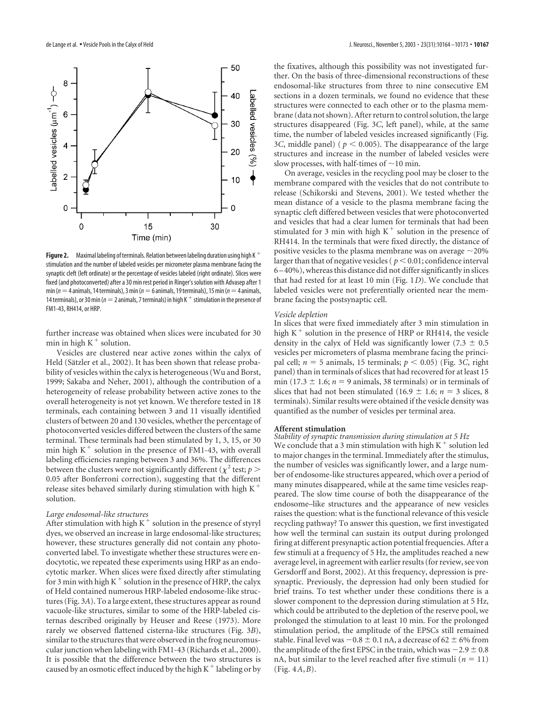

**Figure 2.** Maximal labeling of terminals. Relation between labeling duration using high K stimulation and the number of labeled vesicles per micrometer plasma membrane facing the synaptic cleft (left ordinate) or the percentage of vesicles labeled (right ordinate). Slices were fixed (and photoconverted) after a 30 min rest period in Ringer's solution with Advasep after 1 min (*n* = 4 animals, 14 terminals), 3 min (*n* = 6 animals, 19 terminals), 15 min (*n* = 4 animals, 14 terminals), or 30 min ( $n=2$  animals, 7 terminals) in high K<sup>+</sup> stimulation in the presence of FM1-43, RH414, or HRP.

further increase was obtained when slices were incubated for 30 min in high  $K^+$  solution.

Vesicles are clustered near active zones within the calyx of Held (Sätzler et al., 2002). It has been shown that release probability of vesicles within the calyx is heterogeneous (Wu and Borst, 1999; Sakaba and Neher, 2001), although the contribution of a heterogeneity of release probability between active zones to the overall heterogeneity is not yet known. We therefore tested in 18 terminals, each containing between 3 and 11 visually identified clusters of between 20 and 130 vesicles, whether the percentage of photoconverted vesicles differed between the clusters of the same terminal. These terminals had been stimulated by 1, 3, 15, or 30 min high  $K^+$  solution in the presence of FM1-43, with overall labeling efficiencies ranging between 3 and 36%. The differences between the clusters were not significantly different ( $\chi^2$  test; *p* > 0.05 after Bonferroni correction), suggesting that the different release sites behaved similarly during stimulation with high  $K^+$ solution.

#### *Large endosomal-like structures*

After stimulation with high  $K^+$  solution in the presence of styryl dyes, we observed an increase in large endosomal-like structures; however, these structures generally did not contain any photoconverted label. To investigate whether these structures were endocytotic, we repeated these experiments using HRP as an endocytotic marker. When slices were fixed directly after stimulating for 3 min with high  $K^+$  solution in the presence of HRP, the calyx of Held contained numerous HRP-labeled endosome-like structures (Fig. 3*A*). To a large extent, these structures appear as round vacuole-like structures, similar to some of the HRP-labeled cisternas described originally by Heuser and Reese (1973). More rarely we observed flattened cisterna-like structures (Fig. 3*B*), similar to the structures that were observed in the frog neuromuscular junction when labeling with FM1-43 (Richards et al., 2000). It is possible that the difference between the two structures is caused by an osmotic effect induced by the high  $K^+$  labeling or by

the fixatives, although this possibility was not investigated further. On the basis of three-dimensional reconstructions of these endosomal-like structures from three to nine consecutive EM sections in a dozen terminals, we found no evidence that these structures were connected to each other or to the plasma membrane (data not shown). After return to control solution, the large structures disappeared (Fig. 3*C*, left panel), while, at the same time, the number of labeled vesicles increased significantly (Fig. 3*C*, middle panel) ( $p < 0.005$ ). The disappearance of the large structures and increase in the number of labeled vesicles were slow processes, with half-times of  $\sim$  10 min.

On average, vesicles in the recycling pool may be closer to the membrane compared with the vesicles that do not contribute to release (Schikorski and Stevens, 2001). We tested whether the mean distance of a vesicle to the plasma membrane facing the synaptic cleft differed between vesicles that were photoconverted and vesicles that had a clear lumen for terminals that had been stimulated for 3 min with high  $K^+$  solution in the presence of RH414. In the terminals that were fixed directly, the distance of positive vesicles to the plasma membrane was on average  ${\sim}20\%$ larger than that of negative vesicles ( $p < 0.01$ ; confidence interval 6–40%), whereas this distance did not differ significantly in slices that had rested for at least 10 min (Fig. 1*D*). We conclude that labeled vesicles were not preferentially oriented near the membrane facing the postsynaptic cell.

#### *Vesicle depletion*

In slices that were fixed immediately after 3 min stimulation in high  $K^+$  solution in the presence of HRP or RH414, the vesicle density in the calyx of Held was significantly lower (7.3  $\pm$  0.5 vesicles per micrometers of plasma membrane facing the principal cell;  $n = 5$  animals, 15 terminals;  $p < 0.05$ ) (Fig. 3*C*, right panel) than in terminals of slices that had recovered for at least 15 min (17.3  $\pm$  1.6; *n* = 9 animals, 38 terminals) or in terminals of slices that had not been stimulated (16.9  $\pm$  1.6; *n* = 3 slices, 8 terminals). Similar results were obtained if the vesicle density was quantified as the number of vesicles per terminal area.

#### **Afferent stimulation**

*Stability of synaptic transmission during stimulation at 5 Hz* We conclude that a 3 min stimulation with high  $K^+$  solution led to major changes in the terminal. Immediately after the stimulus, the number of vesicles was significantly lower, and a large number of endosome-like structures appeared, which over a period of many minutes disappeared, while at the same time vesicles reappeared. The slow time course of both the disappearance of the endosome–like structures and the appearance of new vesicles raises the question: what is the functional relevance of this vesicle recycling pathway? To answer this question, we first investigated how well the terminal can sustain its output during prolonged firing at different presynaptic action potential frequencies. After a few stimuli at a frequency of 5 Hz, the amplitudes reached a new average level, in agreement with earlier results (for review, see von Gersdorff and Borst, 2002). At this frequency, depression is presynaptic. Previously, the depression had only been studied for brief trains. To test whether under these conditions there is a slower component to the depression during stimulation at 5 Hz, which could be attributed to the depletion of the reserve pool, we prolonged the stimulation to at least 10 min. For the prolonged stimulation period, the amplitude of the EPSCs still remained stable. Final level was  $-0.8 \pm 0.1$  nA, a decrease of 62  $\pm$  6% from the amplitude of the first EPSC in the train, which was  $-2.9 \pm 0.8$ nA, but similar to the level reached after five stimuli ( $n = 11$ ) (Fig. 4*A*,*B*).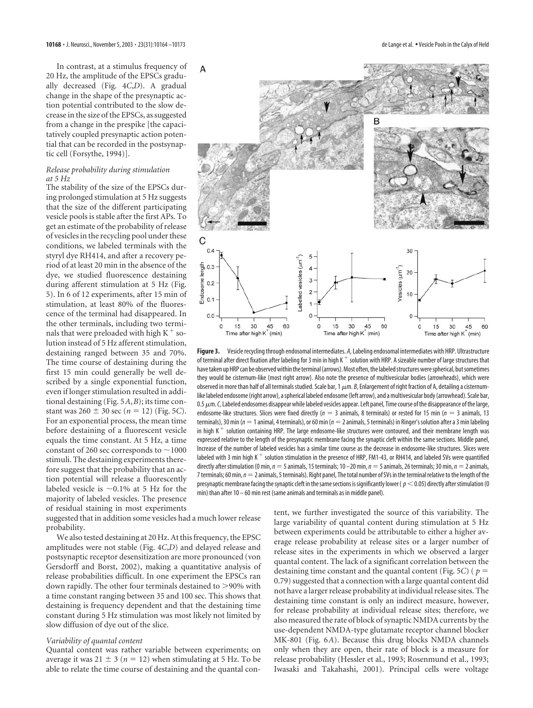In contrast, at a stimulus frequency of 20 Hz, the amplitude of the EPSCs gradually decreased (Fig. 4*C*,*D*). A gradual change in the shape of the presynaptic action potential contributed to the slow decrease in the size of the EPSCs, as suggested from a change in the prespike [the capacitatively coupled presynaptic action potential that can be recorded in the postsynaptic cell (Forsythe, 1994)].

#### *Release probability during stimulation at 5 Hz*

The stability of the size of the EPSCs during prolonged stimulation at 5 Hz suggests that the size of the different participating vesicle pools is stable after the first APs. To get an estimate of the probability of release of vesicles in the recycling pool under these conditions, we labeled terminals with the styryl dye RH414, and after a recovery period of at least 20 min in the absence of the dye, we studied fluorescence destaining during afferent stimulation at 5 Hz (Fig. 5). In 6 of 12 experiments, after 15 min of stimulation, at least 80% of the fluorescence of the terminal had disappeared. In the other terminals, including two terminals that were preloaded with high  $K^+$  solution instead of 5 Hz afferent stimulation, destaining ranged between 35 and 70%. The time course of destaining during the first 15 min could generally be well described by a single exponential function, even if longer stimulation resulted in additional destaining (Fig. 5*A*,*B*); its time constant was  $260 \pm 30$  sec ( $n = 12$ ) (Fig. 5*C*). For an exponential process, the mean time before destaining of a fluorescent vesicle equals the time constant. At 5 Hz, a time constant of 260 sec corresponds to  $\sim$  1000 stimuli. The destaining experiments therefore suggest that the probability that an action potential will release a fluorescently labeled vesicle is  $\sim$ 0.1% at 5 Hz for the majority of labeled vesicles. The presence of residual staining in most experiments



**Figure 3.** Vesicle recycling through endosomal intermediates. *A*, Labeling endosomal intermediates with HRP. Ultrastructure of terminal after direct fixation after labeling for 3 min in high K  $^+$  solution with HRP. A sizeable number of large structures that have taken up HRP can be observed within the terminal (arrows). Most often, the labeled structures were spherical, but sometimes they would be cisternum-like (most right arrow). Also note the presence of multivesicular bodies (arrowheads), which were observed in more than half of all terminals studied. Scale bar, 1  $\mu$ m. *B*, Enlargement of right fraction of A, detailing a cisternumlike labeled endosome (right arrow), a spherical labeled endosome (left arrow), and a multivesicular body (arrowhead). Scale bar, 0.5  $\mu$ m. C, Labeled endosomes disappear while labeled vesicles appear. Left panel, Time course of the disappearance of the large, endosome-like structures. Slices were fixed directly ( $n = 3$  animals, 8 terminals) or rested for 15 min ( $n = 3$  animals, 13 terminals), 30 min ( $n = 1$  animal, 4 terminals), or 60 min ( $n = 2$  animals, 5 terminals) in Ringer's solution after a 3 min labeling in high K<sup>+</sup> solution containing HRP. The large endosome-like structures were contoured, and their membrane length was expressed relative to the length of the presynaptic membrane facing the synaptic cleft within the same sections. Middle panel, Increase of the number of labeled vesicles has a similar time course as the decrease in endosome-like structures. Slices were labeled with 3 min high K  $^+$  solution stimulation in the presence of HRP, FM1-43, or RH414, and labeled SVs were quantified directly after stimulation (0 min,  $n = 5$  animals, 15 terminals; 10 – 20 min,  $n = 5$  animals, 26 terminals; 30 min,  $n = 2$  animals, 7 terminals; 60 min,  $n=2$  animals, 5 terminals). Right panel, The total number of SVs in the terminal relative to the length of the presynaptic membrane facing the synaptic cleft in the same sections is significantly lower ( $p<$  0.05) directly after stimulation (0 min) than after 10 – 60 min rest (same animals and terminals as in middle panel).

suggested that in addition some vesicles had a much lower release probability.

We also tested destaining at 20 Hz. At this frequency, the EPSC amplitudes were not stable (Fig. 4*C*,*D*) and delayed release and postsynaptic receptor desensitization are more pronounced (von Gersdorff and Borst, 2002), making a quantitative analysis of release probabilities difficult. In one experiment the EPSCs ran down rapidly. The other four terminals destained to >90% with a time constant ranging between 35 and 100 sec. This shows that destaining is frequency dependent and that the destaining time constant during 5 Hz stimulation was most likely not limited by slow diffusion of dye out of the slice.

#### *Variability of quantal content*

Quantal content was rather variable between experiments; on average it was  $21 \pm 3$  ( $n = 12$ ) when stimulating at 5 Hz. To be able to relate the time course of destaining and the quantal content, we further investigated the source of this variability. The large variability of quantal content during stimulation at 5 Hz between experiments could be attributable to either a higher average release probability at release sites or a larger number of release sites in the experiments in which we observed a larger quantal content. The lack of a significant correlation between the destaining time constant and the quantal content (Fig. 5*C*) ( $p =$ 0.79) suggested that a connection with a large quantal content did not have a larger release probability at individual release sites. The destaining time constant is only an indirect measure, however, for release probability at individual release sites; therefore, we also measured the rate of block of synaptic NMDA currents by the use-dependent NMDA-type glutamate receptor channel blocker MK-801 (Fig. 6*A*). Because this drug blocks NMDA channels only when they are open, their rate of block is a measure for release probability (Hessler et al., 1993; Rosenmund et al., 1993; Iwasaki and Takahashi, 2001). Principal cells were voltage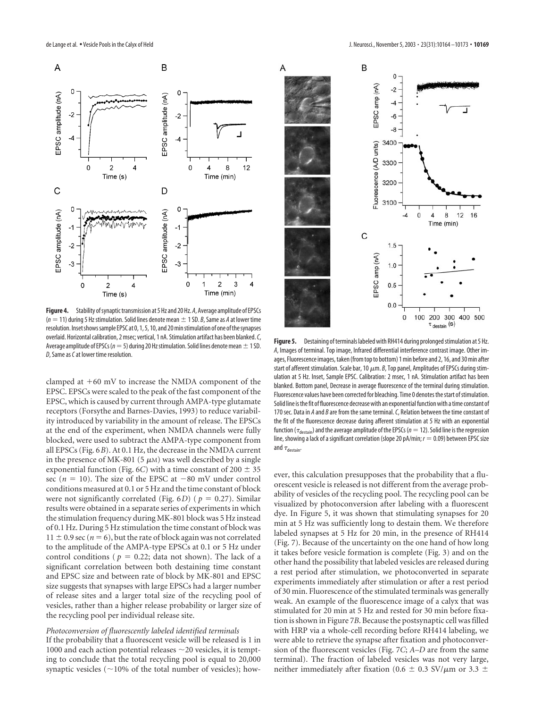

**Figure 4.** Stability of synaptic transmission at 5 Hz and 20 Hz. *A*, Average amplitude of EPSCs  $(n = 11)$  during 5 Hz stimulation. Solid lines denote mean  $\pm$  1 SD. *B*, Same as *A* at lower time resolution. Inset shows sample EPSC at 0, 1, 5, 10, and 20 min stimulation of one of the synapses overlaid. Horizontal calibration, 2 msec; vertical, 1 nA. Stimulation artifact has been blanked.*C*, Average amplitude of EPSCs ( $n=5$ ) during 20 Hz stimulation. Solid lines denote mean  $\pm$  1 SD. *D*, Same as*C*at lower time resolution.

clamped at  $+60$  mV to increase the NMDA component of the EPSC. EPSCs were scaled to the peak of the fast component of the EPSC, which is caused by current through AMPA-type glutamate receptors (Forsythe and Barnes-Davies, 1993) to reduce variability introduced by variability in the amount of release. The EPSCs at the end of the experiment, when NMDA channels were fully blocked, were used to subtract the AMPA-type component from all EPSCs (Fig. 6*B*). At 0.1 Hz, the decrease in the NMDA current in the presence of MK-801 (5  $\mu$ M) was well described by a single exponential function (Fig. 6*C*) with a time constant of 200  $\pm$  35 sec ( $n = 10$ ). The size of the EPSC at  $-80$  mV under control conditions measured at 0.1 or 5 Hz and the time constant of block were not significantly correlated (Fig.  $6D$ ) ( $p = 0.27$ ). Similar results were obtained in a separate series of experiments in which the stimulation frequency during MK-801 block was 5 Hz instead of 0.1 Hz. During 5 Hz stimulation the time constant of block was 11  $\pm$  0.9 sec ( $n = 6$ ), but the rate of block again was not correlated to the amplitude of the AMPA-type EPSCs at 0.1 or 5 Hz under control conditions ( $p = 0.22$ ; data not shown). The lack of a significant correlation between both destaining time constant and EPSC size and between rate of block by MK-801 and EPSC size suggests that synapses with large EPSCs had a larger number of release sites and a larger total size of the recycling pool of vesicles, rather than a higher release probability or larger size of the recycling pool per individual release site.

*Photoconversion of fluorescently labeled identified terminals*

If the probability that a fluorescent vesicle will be released is 1 in 1000 and each action potential releases  $\sim$  20 vesicles, it is tempting to conclude that the total recycling pool is equal to 20,000 synaptic vesicles ( $\sim$ 10% of the total number of vesicles); how-



**Figure 5.** Destaining of terminals labeled with RH414 during prolonged stimulation at 5 Hz. *A*, Images of terminal. Top image, Infrared differential interference contrast image. Other images, Fluorescence images, taken (from top to bottom) 1 min before and 2, 16, and 30 min after start of afferent stimulation. Scale bar, 10  $\mu$ m. *B*, Top panel, Amplitudes of EPSCs during stimulation at 5 Hz. Inset, Sample EPSC. Calibration: 2 msec, 1 nA. Stimulation artifact has been blanked. Bottom panel, Decrease in average fluorescence of the terminal during stimulation. Fluorescence values have been corrected for bleaching. Time 0 denotes the start of stimulation. Solid line is the fit of fluorescence decrease with an exponential function with a time constant of 170 sec. Data in *A* and *B* are from the same terminal.*C*, Relation between the time constant of the fit of the fluorescence decrease during afferent stimulation at 5 Hz with an exponential function ( $\tau_{\text{destain}}$ ) and the average amplitude of the EPSCs ( $n=12$ ). Solid line is the regression line, showing a lack of a significant correlation (slope 20 pA/min;  $r = 0.09$ ) between EPSC size and  $\tau_{\text{destain}}$ .

ever, this calculation presupposes that the probability that a fluorescent vesicle is released is not different from the average probability of vesicles of the recycling pool. The recycling pool can be visualized by photoconversion after labeling with a fluorescent dye. In Figure 5, it was shown that stimulating synapses for 20 min at 5 Hz was sufficiently long to destain them. We therefore labeled synapses at 5 Hz for 20 min, in the presence of RH414 (Fig. 7). Because of the uncertainty on the one hand of how long it takes before vesicle formation is complete (Fig. 3) and on the other hand the possibility that labeled vesicles are released during a rest period after stimulation, we photoconverted in separate experiments immediately after stimulation or after a rest period of 30 min. Fluorescence of the stimulated terminals was generally weak. An example of the fluorescence image of a calyx that was stimulated for 20 min at 5 Hz and rested for 30 min before fixation is shown in Figure 7*B*. Because the postsynaptic cell was filled with HRP via a whole-cell recording before RH414 labeling, we were able to retrieve the synapse after fixation and photoconversion of the fluorescent vesicles (Fig. 7*C*; *A–D* are from the same terminal). The fraction of labeled vesicles was not very large, neither immediately after fixation (0.6  $\pm$  0.3 SV/ $\mu$ m or 3.3  $\pm$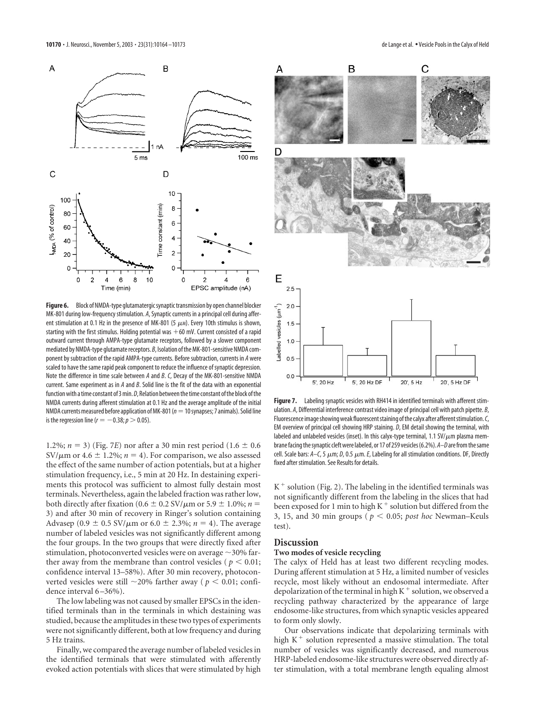

**Figure 6.** Block of NMDA-type glutamatergic synaptic transmission by open channel blocker MK-801 during low-frequency stimulation. *A*, Synaptic currents in a principal cell during afferent stimulation at 0.1 Hz in the presence of MK-801 (5  $\mu$ m). Every 10th stimulus is shown, starting with the first stimulus. Holding potential was  $+60$  mV. Current consisted of a rapid outward current through AMPA-type glutamate receptors, followed by a slower component mediated by NMDA-type glutamate receptors. *B*, Isolation of the MK-801-sensitive NMDA component by subtraction of the rapid AMPA-type currents. Before subtraction, currents in *A* were scaled to have the same rapid peak component to reduce the influence of synaptic depression. Note the difference in time scale between *A* and *B*. *C*, Decay of the MK-801-sensitive NMDA current. Same experiment as in *A* and *B*. Solid line is the fit of the data with an exponential function with a time constant of 3 min.*D*, Relation between the time constant of the block of the NMDA currents during afferent stimulation at 0.1 Hz and the average amplitude of the initial NMDA currents measured before application of MK-801 ( $n=10$  synapses; 7 animals). Solid line is the regression line ( $r = -0.38; p > 0.05$ ).

1.2%;  $n = 3$ ) (Fig. 7*E*) nor after a 30 min rest period (1.6  $\pm$  0.6 SV/ $\mu$ m or 4.6  $\pm$  1.2%;  $n = 4$ ). For comparison, we also assessed the effect of the same number of action potentials, but at a higher stimulation frequency, i.e., 5 min at 20 Hz. In destaining experiments this protocol was sufficient to almost fully destain most terminals. Nevertheless, again the labeled fraction was rather low, both directly after fixation (0.6  $\pm$  0.2 SV/ $\mu$ m or 5.9  $\pm$  1.0%; *n* = 3) and after 30 min of recovery in Ringer's solution containing Advasep (0.9  $\pm$  0.5 SV/ $\mu$ m or 6.0  $\pm$  2.3%; *n* = 4). The average number of labeled vesicles was not significantly different among the four groups. In the two groups that were directly fixed after stimulation, photoconverted vesicles were on average  ${\sim}$ 30% farther away from the membrane than control vesicles ( $p < 0.01$ ; confidence interval 13–58%). After 30 min recovery, photoconverted vesicles were still  $\sim$ 20% farther away (  $p < 0.01$ ; confidence interval 6–36%).

The low labeling was not caused by smaller EPSCs in the identified terminals than in the terminals in which destaining was studied, because the amplitudes in these two types of experiments were not significantly different, both at low frequency and during 5 Hz trains.

Finally, we compared the average number of labeled vesicles in the identified terminals that were stimulated with afferently evoked action potentials with slices that were stimulated by high



Figure 7. Labeling synaptic vesicles with RH414 in identified terminals with afferent stimulation. *A*, Differential interference contrast video image of principal cell with patch pipette. *B*, Fluorescence image showing weak fluorescent staining of the calyx after afferent stimulation.*C*, EM overview of principal cell showing HRP staining. *D*, EM detail showing the terminal, with labeled and unlabeled vesicles (inset). In this calyx-type terminal, 1.1 SV/ $\mu$ m plasma membrane facing the synaptic cleft were labeled, or 17 of 259 vesicles (6.2%). *A–D*are from the same cell. Scale bars: A-C, 5 μm; D, 0.5 μm. *E*, Labeling for all stimulation conditions. DF, Directly fixed after stimulation. See Results for details.

 $K^+$  solution (Fig. 2). The labeling in the identified terminals was not significantly different from the labeling in the slices that had been exposed for 1 min to high K<sup>+</sup> solution but differed from the 3, 15, and 30 min groups ( *p* 0.05; *post hoc* Newman–Keuls test).

#### **Discussion**

#### **Two modes of vesicle recycling**

The calyx of Held has at least two different recycling modes. During afferent stimulation at 5 Hz, a limited number of vesicles recycle, most likely without an endosomal intermediate. After depolarization of the terminal in high  $K^+$  solution, we observed a recycling pathway characterized by the appearance of large endosome-like structures, from which synaptic vesicles appeared to form only slowly.

Our observations indicate that depolarizing terminals with high  $K^+$  solution represented a massive stimulation. The total number of vesicles was significantly decreased, and numerous HRP-labeled endosome-like structures were observed directly after stimulation, with a total membrane length equaling almost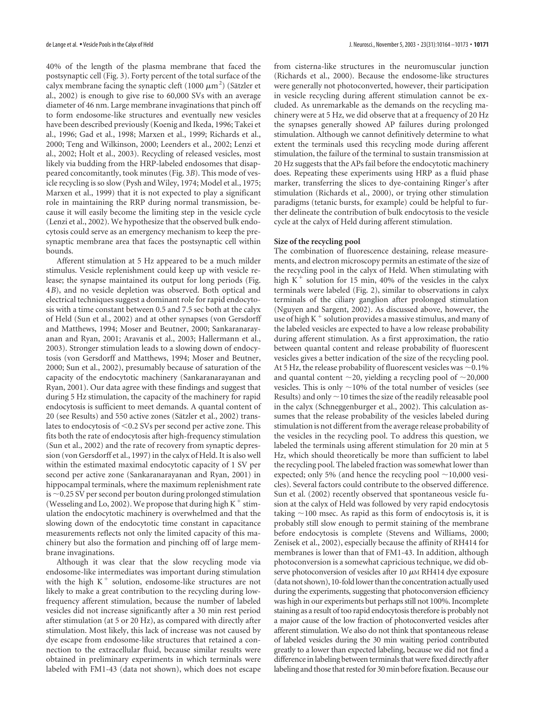40% of the length of the plasma membrane that faced the postsynaptic cell (Fig. 3). Forty percent of the total surface of the calyx membrane facing the synaptic cleft (1000  $\mu$ m<sup>2</sup>) (Sätzler et al., 2002) is enough to give rise to 60,000 SVs with an average diameter of 46 nm. Large membrane invaginations that pinch off to form endosome-like structures and eventually new vesicles have been described previously (Koenig and Ikeda, 1996; Takei et al., 1996; Gad et al., 1998; Marxen et al., 1999; Richards et al., 2000; Teng and Wilkinson, 2000; Leenders et al., 2002; Lenzi et al., 2002; Holt et al., 2003). Recycling of released vesicles, most likely via budding from the HRP-labeled endosomes that disappeared concomitantly, took minutes (Fig. 3*B*). This mode of vesicle recycling is so slow (Pysh and Wiley, 1974; Model et al., 1975; Marxen et al., 1999) that it is not expected to play a significant role in maintaining the RRP during normal transmission, because it will easily become the limiting step in the vesicle cycle (Lenzi et al., 2002). We hypothesize that the observed bulk endocytosis could serve as an emergency mechanism to keep the presynaptic membrane area that faces the postsynaptic cell within bounds.

Afferent stimulation at 5 Hz appeared to be a much milder stimulus. Vesicle replenishment could keep up with vesicle release; the synapse maintained its output for long periods (Fig. 4*B*), and no vesicle depletion was observed. Both optical and electrical techniques suggest a dominant role for rapid endocytosis with a time constant between 0.5 and 7.5 sec both at the calyx of Held (Sun et al., 2002) and at other synapses (von Gersdorff and Matthews, 1994; Moser and Beutner, 2000; Sankaranarayanan and Ryan, 2001; Aravanis et al., 2003; Hallermann et al., 2003). Stronger stimulation leads to a slowing down of endocytosis (von Gersdorff and Matthews, 1994; Moser and Beutner, 2000; Sun et al., 2002), presumably because of saturation of the capacity of the endocytotic machinery (Sankaranarayanan and Ryan, 2001). Our data agree with these findings and suggest that during 5 Hz stimulation, the capacity of the machinery for rapid endocytosis is sufficient to meet demands. A quantal content of 20 (see Results) and 550 active zones (Sätzler et al., 2002) translates to endocytosis of  $\leq$  0.2 SVs per second per active zone. This fits both the rate of endocytosis after high-frequency stimulation (Sun et al., 2002) and the rate of recovery from synaptic depression (von Gersdorff et al., 1997) in the calyx of Held. It is also well within the estimated maximal endocytotic capacity of 1 SV per second per active zone (Sankaranarayanan and Ryan, 2001) in hippocampal terminals, where the maximum replenishment rate is  ${\sim}$ 0.25 SV per second per bouton during prolonged stimulation (Wesseling and Lo, 2002). We propose that during high  $K^+$  stimulation the endocytotic machinery is overwhelmed and that the slowing down of the endocytotic time constant in capacitance measurements reflects not only the limited capacity of this machinery but also the formation and pinching off of large membrane invaginations.

Although it was clear that the slow recycling mode via endosome-like intermediates was important during stimulation with the high  $K^+$  solution, endosome-like structures are not likely to make a great contribution to the recycling during lowfrequency afferent stimulation, because the number of labeled vesicles did not increase significantly after a 30 min rest period after stimulation (at 5 or 20 Hz), as compared with directly after stimulation. Most likely, this lack of increase was not caused by dye escape from endosome-like structures that retained a connection to the extracellular fluid, because similar results were obtained in preliminary experiments in which terminals were labeled with FM1-43 (data not shown), which does not escape

from cisterna-like structures in the neuromuscular junction (Richards et al., 2000). Because the endosome-like structures were generally not photoconverted, however, their participation in vesicle recycling during afferent stimulation cannot be excluded. As unremarkable as the demands on the recycling machinery were at 5 Hz, we did observe that at a frequency of 20 Hz the synapses generally showed AP failures during prolonged stimulation. Although we cannot definitively determine to what extent the terminals used this recycling mode during afferent stimulation, the failure of the terminal to sustain transmission at 20 Hz suggests that the APs fail before the endocytotic machinery does. Repeating these experiments using HRP as a fluid phase marker, transferring the slices to dye-containing Ringer's after stimulation (Richards et al., 2000), or trying other stimulation paradigms (tetanic bursts, for example) could be helpful to further delineate the contribution of bulk endocytosis to the vesicle cycle at the calyx of Held during afferent stimulation.

#### **Size of the recycling pool**

The combination of fluorescence destaining, release measurements, and electron microscopy permits an estimate of the size of the recycling pool in the calyx of Held. When stimulating with high  $K^+$  solution for 15 min, 40% of the vesicles in the calyx terminals were labeled (Fig. 2), similar to observations in calyx terminals of the ciliary ganglion after prolonged stimulation (Nguyen and Sargent, 2002). As discussed above, however, the use of high  $K^+$  solution provides a massive stimulus, and many of the labeled vesicles are expected to have a low release probability during afferent stimulation. As a first approximation, the ratio between quantal content and release probability of fluorescent vesicles gives a better indication of the size of the recycling pool. At 5 Hz, the release probability of fluorescent vesicles was  ${\sim}0.1\%$ and quantal content  ${\sim}$ 20, yielding a recycling pool of  ${\sim}$ 20,000 vesicles. This is only  ${\sim}10\%$  of the total number of vesicles (see Results) and only  $\sim$  10 times the size of the readily releasable pool in the calyx (Schneggenburger et al., 2002). This calculation assumes that the release probability of the vesicles labeled during stimulation is not different from the average release probability of the vesicles in the recycling pool. To address this question, we labeled the terminals using afferent stimulation for 20 min at 5 Hz, which should theoretically be more than sufficient to label the recycling pool. The labeled fraction was somewhat lower than expected; only 5% (and hence the recycling pool  $\sim$ 10,000 vesicles). Several factors could contribute to the observed difference. Sun et al. (2002) recently observed that spontaneous vesicle fusion at the calyx of Held was followed by very rapid endocytosis taking  $\sim$ 100 msec. As rapid as this form of endocytosis is, it is probably still slow enough to permit staining of the membrane before endocytosis is complete (Stevens and Williams, 2000; Zenisek et al., 2002), especially because the affinity of RH414 for membranes is lower than that of FM1-43. In addition, although photoconversion is a somewhat capricious technique, we did observe photoconversion of vesicles after 10  $\mu$ M RH414 dye exposure (data not shown), 10-fold lower than the concentration actually used during the experiments, suggesting that photoconversion efficiency was high in our experiments but perhaps still not 100%. Incomplete staining as a result of too rapid endocytosis therefore is probably not a major cause of the low fraction of photoconverted vesicles after afferent stimulation. We also do not think that spontaneous release of labeled vesicles during the 30 min waiting period contributed greatly to a lower than expected labeling, because we did not find a difference in labeling between terminals that were fixed directly after labeling and those that rested for 30 min before fixation. Because our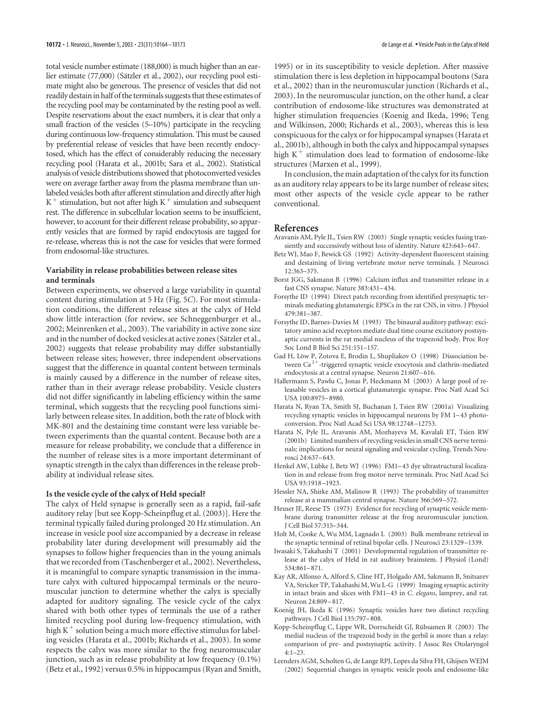total vesicle number estimate (188,000) is much higher than an earlier estimate (77,000) (Sätzler et al., 2002), our recycling pool estimate might also be generous. The presence of vesicles that did not readily destain in half of the terminals suggests that these estimates of the recycling pool may be contaminated by the resting pool as well. Despite reservations about the exact numbers, it is clear that only a small fraction of the vesicles (5–10%) participate in the recycling during continuous low-frequency stimulation. This must be caused by preferential release of vesicles that have been recently endocytosed, which has the effect of considerably reducing the necessary recycling pool (Harata et al., 2001b; Sara et al., 2002). Statistical analysis of vesicle distributions showed that photoconverted vesicles were on average farther away from the plasma membrane than unlabeled vesicles both after afferent stimulation and directly after high  $K^+$  stimulation, but not after high  $K^+$  simulation and subsequent rest. The difference in subcellular location seems to be insufficient, however, to account for their different release probability, so apparently vesicles that are formed by rapid endocytosis are tagged for re-release, whereas this is not the case for vesicles that were formed from endosomal-like structures.

## **Variability in release probabilities between release sites and terminals**

Between experiments, we observed a large variability in quantal content during stimulation at 5 Hz (Fig. 5*C*). For most stimulation conditions, the different release sites at the calyx of Held show little interaction (for review, see Schneggenburger et al., 2002; Meinrenken et al., 2003). The variability in active zone size and in the number of docked vesicles at active zones (Sätzler et al., 2002) suggests that release probability may differ substantially between release sites; however, three independent observations suggest that the difference in quantal content between terminals is mainly caused by a difference in the number of release sites, rather than in their average release probability. Vesicle clusters did not differ significantly in labeling efficiency within the same terminal, which suggests that the recycling pool functions similarly between release sites. In addition, both the rate of block with MK-801 and the destaining time constant were less variable between experiments than the quantal content. Because both are a measure for release probability, we conclude that a difference in the number of release sites is a more important determinant of synaptic strength in the calyx than differences in the release probability at individual release sites.

#### **Is the vesicle cycle of the calyx of Held special?**

The calyx of Held synapse is generally seen as a rapid, fail-safe auditory relay [but see Kopp-Scheinpflug et al. (2003)]. Here the terminal typically failed during prolonged 20 Hz stimulation. An increase in vesicle pool size accompanied by a decrease in release probability later during development will presumably aid the synapses to follow higher frequencies than in the young animals that we recorded from (Taschenberger et al., 2002). Nevertheless, it is meaningful to compare synaptic transmission in the immature calyx with cultured hippocampal terminals or the neuromuscular junction to determine whether the calyx is specially adapted for auditory signaling. The vesicle cycle of the calyx shared with both other types of terminals the use of a rather limited recycling pool during low-frequency stimulation, with high  $K^+$  solution being a much more effective stimulus for labeling vesicles (Harata et al., 2001b; Richards et al., 2003). In some respects the calyx was more similar to the frog neuromuscular junction, such as in release probability at low frequency (0.1%) (Betz et al., 1992) versus 0.5% in hippocampus (Ryan and Smith,

1995) or in its susceptibility to vesicle depletion. After massive stimulation there is less depletion in hippocampal boutons (Sara et al., 2002) than in the neuromuscular junction (Richards et al., 2003). In the neuromuscular junction, on the other hand, a clear contribution of endosome-like structures was demonstrated at higher stimulation frequencies (Koenig and Ikeda, 1996; Teng and Wilkinson, 2000; Richards et al., 2003), whereas this is less conspicuous for the calyx or for hippocampal synapses (Harata et al., 2001b), although in both the calyx and hippocampal synapses high  $K^+$  stimulation does lead to formation of endosome-like structures (Marxen et al., 1999).

In conclusion, the main adaptation of the calyx for its function as an auditory relay appears to be its large number of release sites; most other aspects of the vesicle cycle appear to be rather conventional.

### **References**

- Aravanis AM, Pyle JL, Tsien RW (2003) Single synaptic vesicles fusing transiently and successively without loss of identity. Nature 423:643–647.
- Betz WJ, Mao F, Bewick GS (1992) Activity-dependent fluorescent staining and destaining of living vertebrate motor nerve terminals. J Neurosci 12:363–375.
- Borst JGG, Sakmann B (1996) Calcium influx and transmitter release in a fast CNS synapse. Nature 383:431–434.
- Forsythe ID (1994) Direct patch recording from identified presynaptic terminals mediating glutamatergic EPSCs in the rat CNS, in vitro. J Physiol 479:381–387.
- Forsythe ID, Barnes-Davies M (1993) The binaural auditory pathway: excitatory amino acid receptors mediate dual time course excitatory postsynaptic currents in the rat medial nucleus of the trapezoid body. Proc Roy Soc Lond B Biol Sci 251:151–157.
- Gad H, Löw P, Zotova E, Brodin L, Shupliakov O (1998) Dissociation between  $Ca^{2+}$ -triggered synaptic vesicle exocytosis and clathrin-mediated endocytosis at a central synapse. Neuron 21:607–616.
- Hallermann S, Pawlu C, Jonas P, Heckmann M (2003) A large pool of releasable vesicles in a cortical glutamatergic synapse. Proc Natl Acad Sci USA 100:8975–8980.
- Harata N, Ryan TA, Smith SJ, Buchanan J, Tsien RW (2001a) Visualizing recycling synaptic vesicles in hippocampal neurons by FM 1–43 photoconversion. Proc Natl Acad Sci USA 98:12748–12753.
- Harata N, Pyle JL, Aravanis AM, Mozhayeva M, Kavalali ET, Tsien RW (2001b) Limited numbers of recycling vesicles in small CNS nerve terminals: implications for neural signaling and vesicular cycling. Trends Neurosci 24:637–643.
- Henkel AW, Lübke J, Betz WJ (1996) FM1-43 dye ultrastructural localization in and release from frog motor nerve terminals. Proc Natl Acad Sci USA 93:1918–1923.
- Hessler NA, Shirke AM, Malinow R (1993) The probability of transmitter release at a mammalian central synapse. Nature 366:569–572.
- Heuser JE, Reese TS (1973) Evidence for recycling of synaptic vesicle membrane during transmitter release at the frog neuromuscular junction. J Cell Biol 57:315–344.
- Holt M, Cooke A, Wu MM, Lagnado L (2003) Bulk membrane retrieval in the synaptic terminal of retinal bipolar cells. J Neurosci 23:1329–1339.
- Iwasaki S, Takahashi T (2001) Developmental regulation of transmitter release at the calyx of Held in rat auditory brainstem. J Physiol (Lond) 534:861–871.
- Kay AR, Alfonso A, Alford S, Cline HT, Holgado AM, Sakmann B, Snitsarev VA, Stricker TP, Takahashi M, Wu L-G (1999) Imaging synaptic activity in intact brain and slices with FM1–43 in *C. elegans*, lamprey, and rat. Neuron 24:809–817.
- Koenig JH, Ikeda K (1996) Synaptic vesicles have two distinct recycling pathways. J Cell Biol 135:797–808.
- Kopp-Scheinpflug C, Lippe WR, Dorrscheidt GJ, Rübsamen R (2003) The medial nucleus of the trapezoid body in the gerbil is more than a relay: comparison of pre- and postsynaptic activity. J Assoc Res Otolaryngol 4:1–23.
- Leenders AGM, Scholten G, de Lange RPJ, Lopes da Silva FH, Ghijsen WEJM (2002) Sequential changes in synaptic vesicle pools and endosome-like